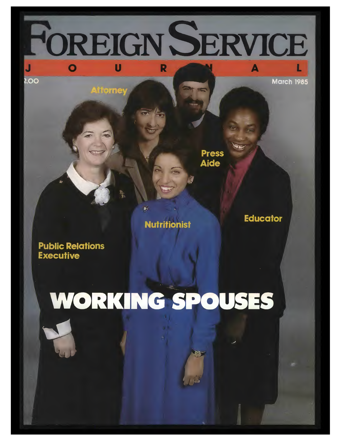OREIGN SERVICE  $\overline{\mathbf{o}}$  $\overline{\mathbf{u}}$ R

 $200$ 

**March 1985** 

 $\blacktriangle$ 

**Press Aide** 

**Nutritionist** 

ě.

**Educator** 

**Public Relations Executive** 

*itiorney* 

# WORKING SPOUSES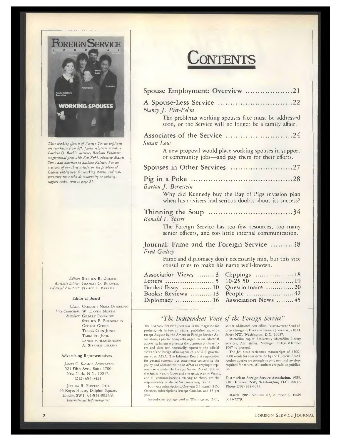

*These working spouses of Foreign Service employees are (clockwise from left) public relations executive Patricia Q. Barkis, attorney Barbara Finamore, congressional press aide Ben Zuhl, educator Mattie Sims, and nutritionist Sushtna Palmer. For an overview of our three articles on the problems of finding employment for working spouses and com pensating those who do community or embassysupport tasks, turn to page 21.*

*Editor:* STEPHEN R. DUJACK *Associate Editor:* FRANCES G. BURWELL *Editorial Assistant:* NANCY L. BARTELS

#### Editorial Board

*Chair:* CAROLINE MEIRS OSTERLING *Vice Chairman:* W. HAVEN NORTH *Members:* GILBERT DONAHUE STEPHEN E. EISENBRAUN GEORGE GEDDA TERESA CHIN JONES TAIRA ST. JOHN LANGE SCHERMERHORN A. STEPHEN TELKINS

### Advertising Representatives

JAMES C. SASMOR ASSOCIATES 521 Fifth Ave., Suite 1700 New York, N.Y. 10017. (212) 683-3421

JOSHUA B. POWERS, LTD. 46 Keyes House, Dolphin Square, London SW1. 01-834-8023/9. *International Representatives*

## **CONTENTS**

| <b>CONTENT</b>                                                                                                                                                                           |
|------------------------------------------------------------------------------------------------------------------------------------------------------------------------------------------|
|                                                                                                                                                                                          |
| Spouse Employment: Overview 21                                                                                                                                                           |
| A Spouse-Less Service 22<br>Nancy J. Piet-Pelon<br>The problems working spouses face must be addressed<br>soon, or the Service will no longer be a family affair.                        |
| Associates of the Service 24<br>Susan Low                                                                                                                                                |
| A new proposal would place working spouses in support<br>or community jobs-and pay them for their efforts.                                                                               |
| Spouses in Other Services 27                                                                                                                                                             |
| Barton J. Bernstein<br>Why did Kennedy buy the Bay of Pigs invasion plan<br>when his advisers had serious doubts about its success?                                                      |
| Ronald I. Spiers<br>The Foreign Service has too few resources, too many<br>senior officers, and too little internal communication.                                                       |
| Journal: Fame and the Foreign Service 38<br>Fred Godsey<br>Fame and diplomacy don't necessarily mix, but this vice                                                                       |
| consul tries to make his name well-known.<br>Association Views  3<br>Clippings 18<br>Books: Essay  10<br>Questionnaire 20<br>Books: Reviews  13<br>Association News  45<br>Diplomacy  16 |
| "The Independent Voice of the Foreign Service"                                                                                                                                           |

The FOREIGN SERVICE JOURNAL is the magazine for professionals in foreign affairs, published monthly except August by the American Foreign Service Association, a private non-profit organization. Material appearing herein represents the opinions of the writers and does not necessarily represent the official views *of* the foreign affairs agencies, the U.S. govern ment, or AFSA. The Editorial Board is responsible for general content, but statements concerning the

policy and administration of AFSA as employee representative under the Foreign Service Act of 1980 in the Association News and the Association Views, and all communicarions relating to these, are the responsibility of the AFSA Governing Board.

JOURNAL subscriptions: One year (11 issues), \$15. Overseas subscriptions (except Canada), add \$3 per year.

Second-class postage paid at Washington, D.C.,

and at additional post office. POSTMASTER: Send address changes to FOREIGN SERVICE JOURNAL, 2101 E Street NW, Washington, D.C. 20037.

Microfilm copies: University Microfilm Library Services, Ann Arbor, Michigan 48106 (October 1967 to present).

The JOURNAL welcomes manuscripts of 1500-4000 words for consideration by the Editorial Board. Author queries are strongly urged, stamped envelope required for return. All authors are paid on publica tion

**© American Foreign Service Association, 1985. 2101 E Street NW, Washington, D.C. 20037. Phone (202) 338-4045.**

**March 1985. Volume 62, number 3. ISSN 0015-7279.**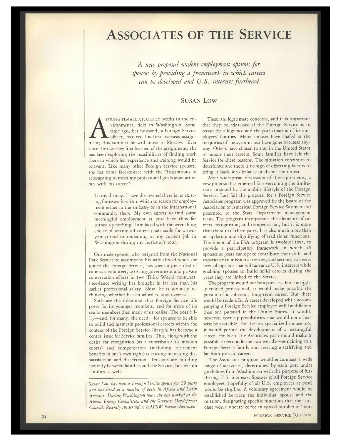### **ASSOCIATES OF THE SERVICE**

*A new proposal widens employment options for spouses by providing a framework in which careers can be developed and U.S. interests furthered*

### **SUSAN LOW**

YOUNG FEMALE ATTORNEY works in the environmental field in Washington. Some time ago, her husband, a Foreign Service officer, received his first overseas assignment; this summer he will move to Moscow. Ever since the day they first learned of the assignment, she has been exploring the possibilities of finding work there in which her experience and training would be relevant. Like many other Foreign Service spouses, she has come face-to-face with the "frustrations of attempting to mesh my professional goals as an attorney with his career":

To my dismay, I have discovered there is no existing framework within which to search for employment either in the embassy or in the international community there. My own efforts to find some meaningful employment at post have thus far turned up nothing. <sup>1</sup> am faced with the wrenching choice of setting all career goals aside for a twoyear period or remaining at my current job in Washington during my husband's tour.

One male spouse, who resigned from the National Park Service to accompany his wife abroad when she joined the Foreign Service, has spent a great deal of time as a volunteer, assisting government and private conservation efforts in two Third World countries. Free-lance writing has brought in far less than his earlier professional salary. Now, he is seriously rethinking whether he can afford to stay overseas.

Such are the dilemmas that Foreign Service life poses for its younger members, and for more of its senior members than many of us realize. The possibility—and, for many, the need—for spouses to be able to build and maintain professional careers within the context of the Foreign Service lifestyle has become a central issue for Service families. This, along with the desire for recognition (as a contributor to mission efforts) and compensation (including retirement benefits in one's own right) is causing increasing dissatisfaction and disaffection. Tensions are building not only between families and the Service, but within families as well.

*Susan Low has been a Foreign Service spouse for 29 years and has lived at a number of posts in Africa and Latin America. During Washington tours she has worked at the Atomic Energy Commission and the Overseas Development Council. Recently she served as AAFSW Forum chairman.*

These are legitimate concerns, and it is important that they be addressed if the Foreign Service is to retain the allegiance and the participation of its em ployees' families. Many spouses have chafed at the inequities of the system, but have gone overseas anyway. Others have chosen to stay in the United States to pursue their careers. Some families have left the Service for these reasons. The situation continues to deteriorate and there is no sign of offsetting factors to bring it back into balance or dispel the unrest.

After widespread discussion of these problems, a new proposal has emerged for overcoming the limitations imposed by the mobile lifestyle of the Foreign Service. Last fall the proposal for a Foreign Service Associates program was approved by the board of the Association of American Foreign Service Women and presented to the State Department management team. The program incorporates the elements of careers, recognition, and compensation, but it is more than the sum of these parts. It is also much more than an updating and dignifying of traditional functions. The intent of the FSA program is twofold: first, to provide a participatory framework in which *all* spouses at posts can opt to contribute their skills and experience to mission activities; and second, to create new job options that will advance U.S. interests while enabling spouses to build solid careers during the years they are linked to the Service.

The program would not be a panacea. For the highly trained professional, it would make possible the pursuit of a coherent, long-term career. But there would be trade-offs. A career developed while accompanying a Foreign Service employee will be different than one pursued in the United States. It would, however, open up possibilities that would not otherwise be available. For the less-specialized spouse too, it would permit the development of a meaningful career. For both, the Associates path should make it possible to reconcile the two worlds—remaining in a Foreign Service family and creating a satisfying and far from prosaic career.

The Associates program would encompass a wide range of activities, determined by each post under guidelines from Washington with the purpose of furthering U.S. interests. Spouses of all Foreign Service employees (hopefully of all U.S. employees at post) would be eligible. A voluntary agreement would be established between the individual spouse and the mission, designating specific functions that the associate would undertake for an agreed number of hours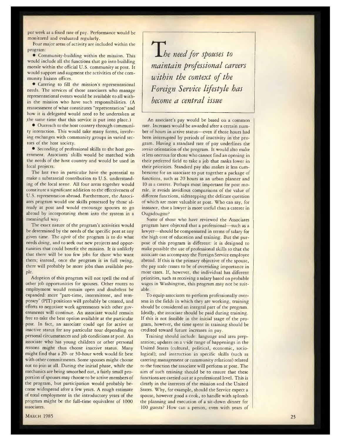per week at a fixed rate of pay. Performance would be monitored and evaluated regularly.

Four major areas of activity are included within the program;

• Community-building within the mission. This would include all the functions that go into building morale within the official U.S. community at post. It would support and augment the activities of the community liaison offices.

• Catering to fill the mission's representational needs. The services of those associates who manage representational events would be available to all within the mission who have such responsibilities. (A reassessment of what constitutes "representation" and how it is delegated would need to be undertaken at the same time that this service is put into place.)

 $\bullet$  Outreach to the host country through community interaction. This would take many forms, involving exchanges with community groups in varied sectors of the host society.

• Seconding of professional skills to the host government. Associates' skills would be matched with the needs of the host country and would be used in local projects.

The last two in particular have the potential to make a substantial contribution to U.S. understanding of the local scene. All four areas together would constitute a significant addition to the effectiveness of U.S. representation abroad. Furthermore, the Associates program would use skills possessed by those already at post and would encourage spouses to go abroad by incorporating them into the system in a meaningful way.

The exact nature of the program's activities would be determined by the needs of the specific post at any given time. The *esprit* of the program is to do what needs doing, and to seek out new projects and opportunities that could benefit the mission. It is unlikely that there will be too few jobs for those who want them; instead, once the program is in full swing, there will probably be more jobs than available people.

Adoption of this program will not spell the end of other job opportunities for spouses. Other routes to employment would remain open and doubtless be expanded: more "part-time, intermittent, and temporary" (PIT) positions will probably be created, and efforts to negotiate work agreements with other governments will continue. An associate would remain free to take the best option available at the particular post. In fact, an associate could opt for active or inactive status for any particular tour depending on personal circumstances and job conditions at post. An associate who has young children or other personal reasons might thus choose inactive status. Many might find that a 20- or 30-hour week would fit best with other commitments. Some spouses might choose not to join at all. During the initial phase, while the mechanics are being smoothed out, a fairly small proportion of spouses may choose to be active members of the program, but participation would probably become widespread after a few years. A rough estimate of total employment in the introductory years of the program might be the full-time equivalent of 1000 associates.

*±he need for spouses to maintain professional careers within the context of the Foreign Service lifestyle has become a central issue*

An associate's pay would be based on a common rate. Increases would be awarded after a certain num ber of hours in active status—even if those hours had been interrupted by periods of inactivity in the program. Having a standard rate of pay underlines the *service* orientation of the program. It would also make it less onerous for those who cannot find an opening in their preferred field to take a job that ranks lower in their priorities. Standard pay also makes it less cum bersome for an associate to put together a package of functions, such as 20 hours as an urban planner and 10 as a caterer. Perhaps most important for post morale, it avoids invidious comparisons of the value of different functions, sidestepping the delicate question ot which are more valuable at post. Who can say, for instance, that a lawyer is more useful than a caterer in Ougadougou?

Some of those who have reviewed the Associates program have objected that a professional—such as a lawyer—should be compensated in terms of salary for the high cost of education and training. But the purpose of this program is different: it is designed to make possible the use of professional skills so that the associate can accompany the Foreign Service employee abroad. If this is the primary objective of the spouse, the pay scale ceases to be of overriding importance in most cases. If, however, the individual has different priorities, such as receiving a salary based on probable wages in Washington, this program may not be suitable.

To equip associates to perform professionally overseas in the fields in which they are working, training should be considered an integral part of the program. Ideally, the associate should be paid during training. If this is not feasible in the initial stage of the program, however, the time spent in training should be credited toward future increases in pay.

Training should include: language and area preparation; updates on a vide range of happenings in the United States (cultural, political, economic, sociological); and instruction in specific skills (such as catering management or community relations) related to the function the associate will perform at post. The aim of such training should be to ensure that these functions are carried out at a professional level. This is clearly in the interests of the mission and the United States. Why, for example, should the Service expect a spouse, however good a cook, to handle with aplomb the planning and execution of a sit-down dinner for 100 guests? How can a person, even with years of